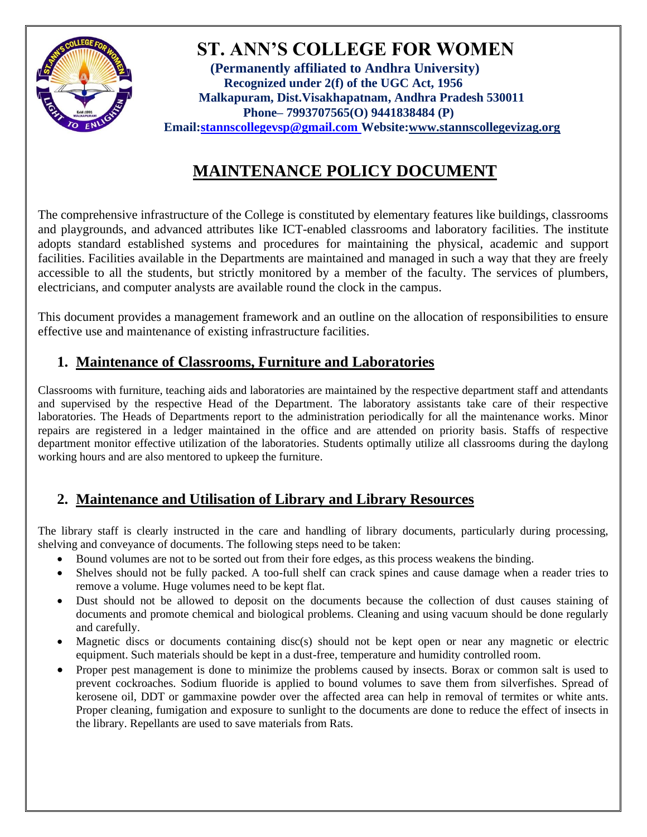

 **ST. ANN'S COLLEGE FOR WOMEN** **(Permanently affiliated to Andhra University) Recognized under 2(f) of the UGC Act, 1956 Malkapuram, Dist.Visakhapatnam, Andhra Pradesh 530011 Phone– 7993707565(O) 9441838484 (P) Email[:stannscollegevsp@gmail.com W](mailto:stannscollegevsp@gmail.com)ebsite[:www.stannscollegevizag.org](http://www.stannscollegevizag.org/)**

# **MAINTENANCE POLICY DOCUMENT**

The comprehensive infrastructure of the College is constituted by elementary features like buildings, classrooms and playgrounds, and advanced attributes like ICT-enabled classrooms and laboratory facilities. The institute adopts standard established systems and procedures for maintaining the physical, academic and support facilities. Facilities available in the Departments are maintained and managed in such a way that they are freely accessible to all the students, but strictly monitored by a member of the faculty. The services of plumbers, electricians, and computer analysts are available round the clock in the campus.

This document provides a management framework and an outline on the allocation of responsibilities to ensure effective use and maintenance of existing infrastructure facilities.

# **1. Maintenance of Classrooms, Furniture and Laboratories**

Classrooms with furniture, teaching aids and laboratories are maintained by the respective department staff and attendants and supervised by the respective Head of the Department. The laboratory assistants take care of their respective laboratories. The Heads of Departments report to the administration periodically for all the maintenance works. Minor repairs are registered in a ledger maintained in the office and are attended on priority basis. Staffs of respective department monitor effective utilization of the laboratories. Students optimally utilize all classrooms during the daylong working hours and are also mentored to upkeep the furniture.

# **2. Maintenance and Utilisation of Library and Library Resources**

The library staff is clearly instructed in the care and handling of library documents, particularly during processing, shelving and conveyance of documents. The following steps need to be taken:

- Bound volumes are not to be sorted out from their fore edges, as this process weakens the binding.
- Shelves should not be fully packed. A too-full shelf can crack spines and cause damage when a reader tries to remove a volume. Huge volumes need to be kept flat.
- Dust should not be allowed to deposit on the documents because the collection of dust causes staining of documents and promote chemical and biological problems. Cleaning and using vacuum should be done regularly and carefully.
- Magnetic discs or documents containing disc(s) should not be kept open or near any magnetic or electric equipment. Such materials should be kept in a dust-free, temperature and humidity controlled room.
- Proper pest management is done to minimize the problems caused by insects. Borax or common salt is used to prevent cockroaches. Sodium fluoride is applied to bound volumes to save them from silverfishes. Spread of kerosene oil, DDT or gammaxine powder over the affected area can help in removal of termites or white ants. Proper cleaning, fumigation and exposure to sunlight to the documents are done to reduce the effect of insects in the library. Repellants are used to save materials from Rats.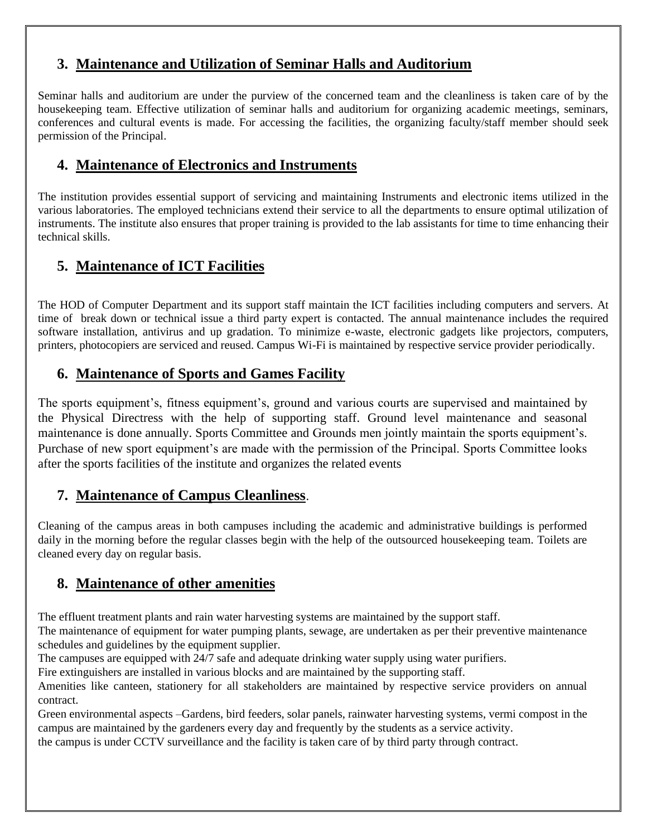#### **3. Maintenance and Utilization of Seminar Halls and Auditorium**

Seminar halls and auditorium are under the purview of the concerned team and the cleanliness is taken care of by the housekeeping team. Effective utilization of seminar halls and auditorium for organizing academic meetings, seminars, conferences and cultural events is made. For accessing the facilities, the organizing faculty/staff member should seek permission of the Principal.

### **4. Maintenance of Electronics and Instruments**

The institution provides essential support of servicing and maintaining Instruments and electronic items utilized in the various laboratories. The employed technicians extend their service to all the departments to ensure optimal utilization of instruments. The institute also ensures that proper training is provided to the lab assistants for time to time enhancing their technical skills.

# **5. Maintenance of ICT Facilities**

The HOD of Computer Department and its support staff maintain the ICT facilities including computers and servers. At time of break down or technical issue a third party expert is contacted. The annual maintenance includes the required software installation, antivirus and up gradation. To minimize e-waste, electronic gadgets like projectors, computers, printers, photocopiers are serviced and reused. Campus Wi-Fi is maintained by respective service provider periodically.

### **6. Maintenance of Sports and Games Facility**

The sports equipment's, fitness equipment's, ground and various courts are supervised and maintained by the Physical Directress with the help of supporting staff. Ground level maintenance and seasonal maintenance is done annually. Sports Committee and Grounds men jointly maintain the sports equipment's. Purchase of new sport equipment's are made with the permission of the Principal. Sports Committee looks after the sports facilities of the institute and organizes the related events

#### **7. Maintenance of Campus Cleanliness**.

Cleaning of the campus areas in both campuses including the academic and administrative buildings is performed daily in the morning before the regular classes begin with the help of the outsourced housekeeping team. Toilets are cleaned every day on regular basis.

## **8. Maintenance of other amenities**

The effluent treatment plants and rain water harvesting systems are maintained by the support staff.

The maintenance of equipment for water pumping plants, sewage, are undertaken as per their preventive maintenance schedules and guidelines by the equipment supplier.

The campuses are equipped with 24/7 safe and adequate drinking water supply using water purifiers.

Fire extinguishers are installed in various blocks and are maintained by the supporting staff.

Amenities like canteen, stationery for all stakeholders are maintained by respective service providers on annual contract.

Green environmental aspects –Gardens, bird feeders, solar panels, rainwater harvesting systems, vermi compost in the campus are maintained by the gardeners every day and frequently by the students as a service activity.

the campus is under CCTV surveillance and the facility is taken care of by third party through contract.